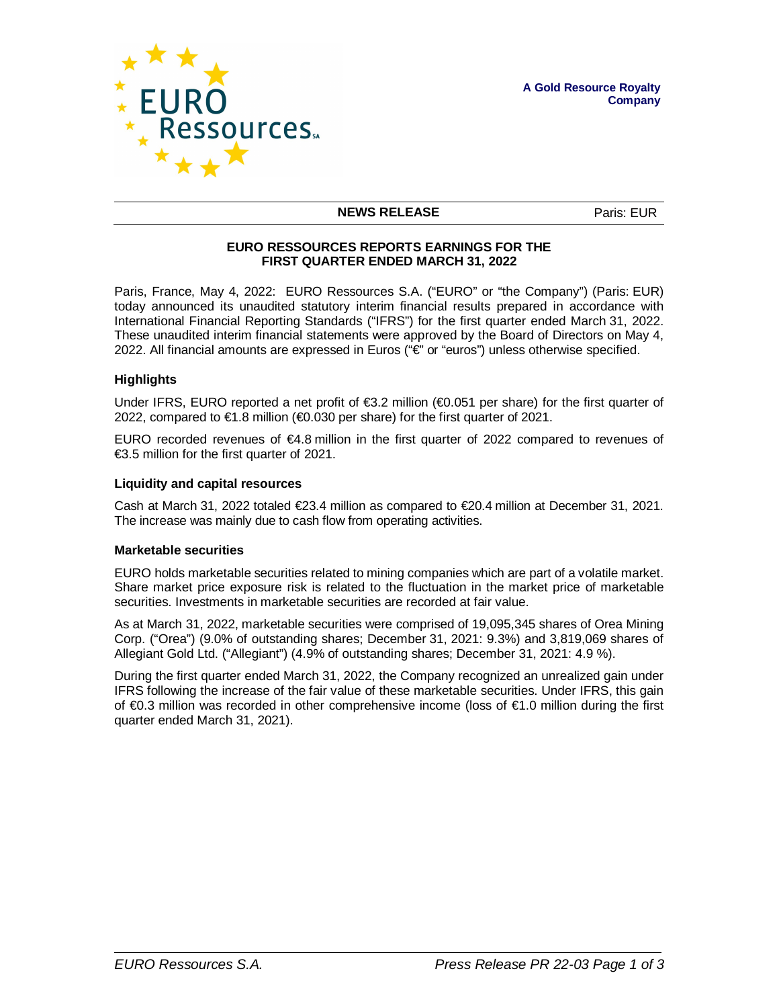



### **NEWS RELEASE** Paris: EUR

## **EURO RESSOURCES REPORTS EARNINGS FOR THE FIRST QUARTER ENDED MARCH 31, 2022**

Paris, France, May 4, 2022: EURO Ressources S.A. ("EURO" or "the Company") (Paris: EUR) today announced its unaudited statutory interim financial results prepared in accordance with International Financial Reporting Standards ("IFRS") for the first quarter ended March 31, 2022. These unaudited interim financial statements were approved by the Board of Directors on May 4, 2022. All financial amounts are expressed in Euros ("€" or "euros") unless otherwise specified.

### **Highlights**

Under IFRS, EURO reported a net profit of  $\epsilon$ 3.2 million ( $\epsilon$ 0.051 per share) for the first quarter of 2022, compared to €1.8 million (€0.030 per share) for the first quarter of 2021.

EURO recorded revenues of €4.8 million in the first quarter of 2022 compared to revenues of €3.5 million for the first quarter of 2021.

### **Liquidity and capital resources**

Cash at March 31, 2022 totaled €23.4 million as compared to €20.4 million at December 31, 2021. The increase was mainly due to cash flow from operating activities.

### **Marketable securities**

EURO holds marketable securities related to mining companies which are part of a volatile market. Share market price exposure risk is related to the fluctuation in the market price of marketable securities. Investments in marketable securities are recorded at fair value.

As at March 31, 2022, marketable securities were comprised of 19,095,345 shares of Orea Mining Corp. ("Orea") (9.0% of outstanding shares; December 31, 2021: 9.3%) and 3,819,069 shares of Allegiant Gold Ltd. ("Allegiant") (4.9% of outstanding shares; December 31, 2021: 4.9 %).

During the first quarter ended March 31, 2022, the Company recognized an unrealized gain under IFRS following the increase of the fair value of these marketable securities. Under IFRS, this gain of €0.3 million was recorded in other comprehensive income (loss of €1.0 million during the first quarter ended March 31, 2021).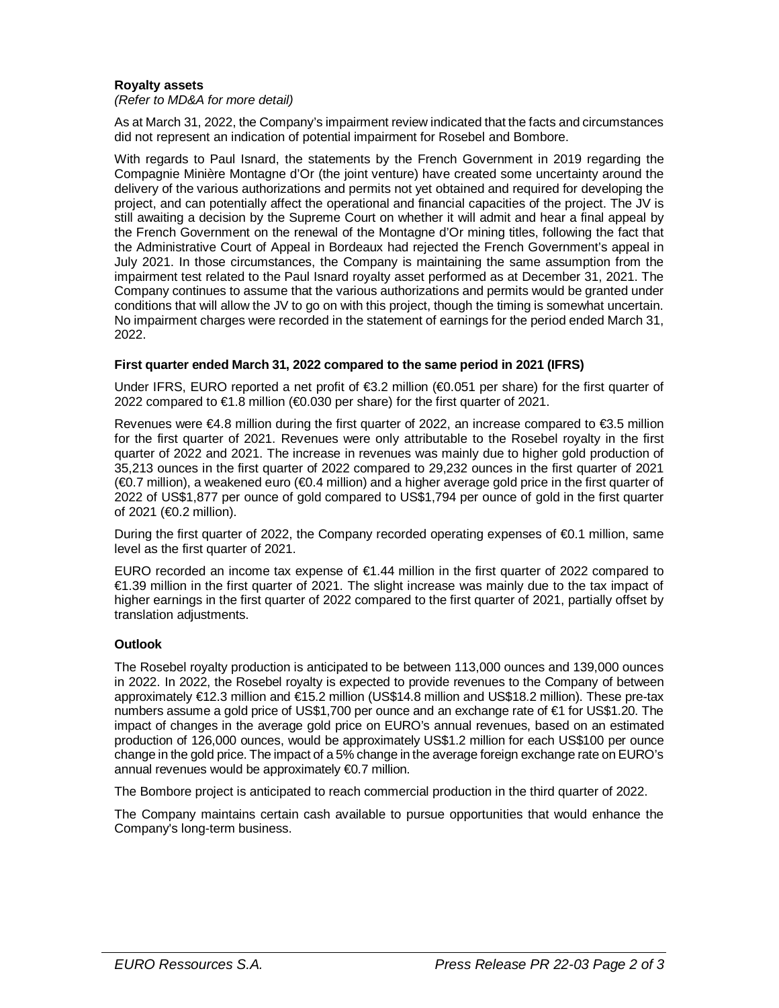# **Royalty assets**

### *(Refer to MD&A for more detail)*

As at March 31, 2022, the Company's impairment review indicated that the facts and circumstances did not represent an indication of potential impairment for Rosebel and Bombore.

With regards to Paul Isnard, the statements by the French Government in 2019 regarding the Compagnie Minière Montagne d'Or (the joint venture) have created some uncertainty around the delivery of the various authorizations and permits not yet obtained and required for developing the project, and can potentially affect the operational and financial capacities of the project. The JV is still awaiting a decision by the Supreme Court on whether it will admit and hear a final appeal by the French Government on the renewal of the Montagne d'Or mining titles, following the fact that the Administrative Court of Appeal in Bordeaux had rejected the French Government's appeal in July 2021. In those circumstances, the Company is maintaining the same assumption from the impairment test related to the Paul Isnard royalty asset performed as at December 31, 2021. The Company continues to assume that the various authorizations and permits would be granted under conditions that will allow the JV to go on with this project, though the timing is somewhat uncertain. No impairment charges were recorded in the statement of earnings for the period ended March 31, 2022.

# **First quarter ended March 31, 2022 compared to the same period in 2021 (IFRS)**

Under IFRS, EURO reported a net profit of €3.2 million (€0.051 per share) for the first quarter of 2022 compared to €1.8 million (€0.030 per share) for the first quarter of 2021.

Revenues were €4.8 million during the first quarter of 2022, an increase compared to €3.5 million for the first quarter of 2021. Revenues were only attributable to the Rosebel royalty in the first quarter of 2022 and 2021. The increase in revenues was mainly due to higher gold production of 35,213 ounces in the first quarter of 2022 compared to 29,232 ounces in the first quarter of 2021 (€0.7 million), a weakened euro (€0.4 million) and a higher average gold price in the first quarter of 2022 of US\$1,877 per ounce of gold compared to US\$1,794 per ounce of gold in the first quarter of 2021 (€0.2 million).

During the first quarter of 2022, the Company recorded operating expenses of €0.1 million, same level as the first quarter of 2021.

EURO recorded an income tax expense of  $\epsilon$ 1.44 million in the first quarter of 2022 compared to €1.39 million in the first quarter of 2021. The slight increase was mainly due to the tax impact of higher earnings in the first quarter of 2022 compared to the first quarter of 2021, partially offset by translation adjustments.

# **Outlook**

The Rosebel royalty production is anticipated to be between 113,000 ounces and 139,000 ounces in 2022. In 2022, the Rosebel royalty is expected to provide revenues to the Company of between approximately €12.3 million and €15.2 million (US\$14.8 million and US\$18.2 million). These pre-tax numbers assume a gold price of US\$1,700 per ounce and an exchange rate of €1 for US\$1.20. The impact of changes in the average gold price on EURO's annual revenues, based on an estimated production of 126,000 ounces, would be approximately US\$1.2 million for each US\$100 per ounce change in the gold price. The impact of a 5% change in the average foreign exchange rate on EURO's annual revenues would be approximately €0.7 million.

The Bombore project is anticipated to reach commercial production in the third quarter of 2022.

The Company maintains certain cash available to pursue opportunities that would enhance the Company's long-term business.